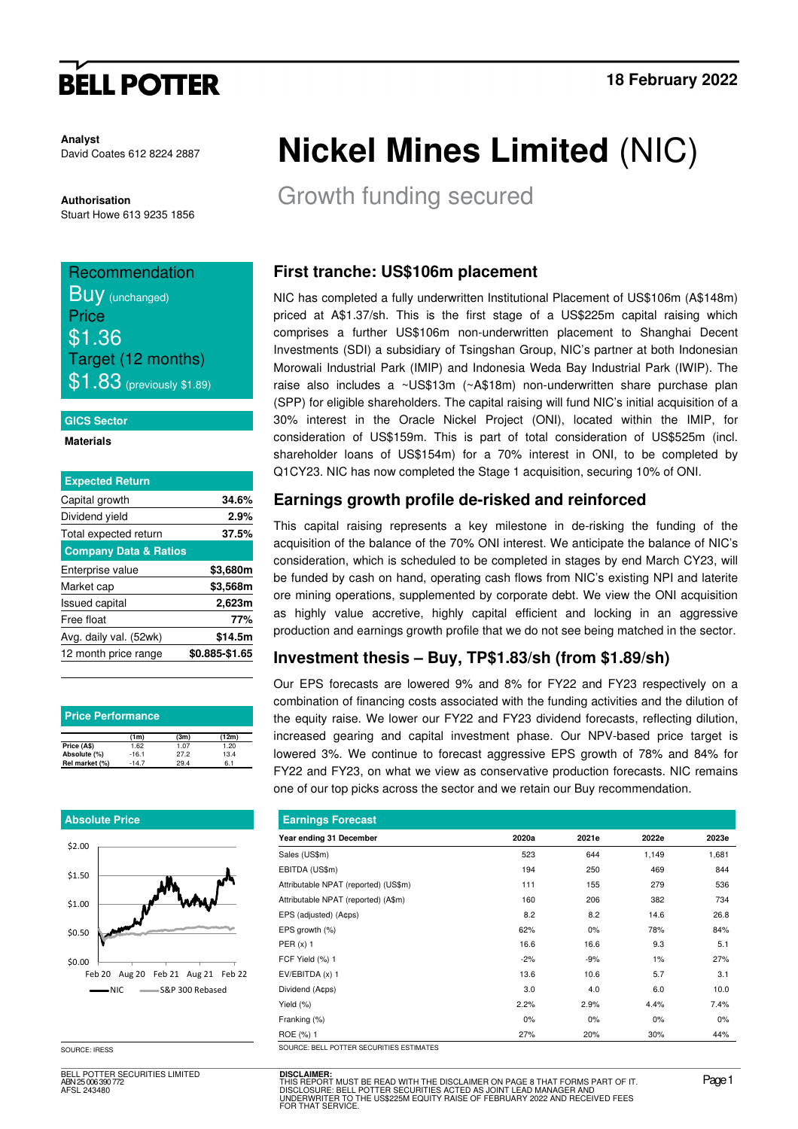# **BELL POTTER**

**Analyst**  David Coates 612 8224 2887

**Authorisation**  Stuart Howe 613 9235 1856

### Recommendation **BUV** (unchanged) Price \$1.36 Target (12 months) **\$1.83** (previously \$1.89)

#### **GICS Sector**

#### **Materials**

| <b>Expected Return</b>           |                |
|----------------------------------|----------------|
| Capital growth                   | 34.6%          |
| Dividend yield                   | 2.9%           |
| Total expected return            | 37.5%          |
| <b>Company Data &amp; Ratios</b> |                |
| Enterprise value                 | \$3,680m       |
| Market cap                       | \$3,568m       |
| <b>Issued capital</b>            | 2,623m         |
| Free float                       | 77%            |
| Avg. daily val. (52wk)           | \$14.5m        |
| 12 month price range             | \$0.885-\$1.65 |

| <b>Price Performance</b> |         |      |       |  |  |  |  |  |  |  |
|--------------------------|---------|------|-------|--|--|--|--|--|--|--|
|                          | (1m)    | (3m) | (12m) |  |  |  |  |  |  |  |
| Price (A\$)              | 1.62    | 1.07 | 1.20  |  |  |  |  |  |  |  |
| Absolute (%)             | $-16.1$ | 27.2 | 13.4  |  |  |  |  |  |  |  |
| Rel market (%)           | $-14.7$ | 29.4 | 6.1   |  |  |  |  |  |  |  |

#### **Absolute Price**



SOURCE: IRESS

BELL POTTER SECURITIES LIMITED ABN 25 006 390 772 AFSL 243480

# **Nickel Mines Limited** (NIC)

Growth funding secured

### **First tranche: US\$106m placement**

NIC has completed a fully underwritten Institutional Placement of US\$106m (A\$148m) priced at A\$1.37/sh. This is the first stage of a US\$225m capital raising which comprises a further US\$106m non-underwritten placement to Shanghai Decent Investments (SDI) a subsidiary of Tsingshan Group, NIC's partner at both Indonesian Morowali Industrial Park (IMIP) and Indonesia Weda Bay Industrial Park (IWIP). The raise also includes a ~US\$13m (~A\$18m) non-underwritten share purchase plan (SPP) for eligible shareholders. The capital raising will fund NIC's initial acquisition of a 30% interest in the Oracle Nickel Project (ONI), located within the IMIP, for consideration of US\$159m. This is part of total consideration of US\$525m (incl. shareholder loans of US\$154m) for a 70% interest in ONI, to be completed by Q1CY23. NIC has now completed the Stage 1 acquisition, securing 10% of ONI.

### **Earnings growth profile de-risked and reinforced**

This capital raising represents a key milestone in de-risking the funding of the acquisition of the balance of the 70% ONI interest. We anticipate the balance of NIC's consideration, which is scheduled to be completed in stages by end March CY23, will be funded by cash on hand, operating cash flows from NIC's existing NPI and laterite ore mining operations, supplemented by corporate debt. We view the ONI acquisition as highly value accretive, highly capital efficient and locking in an aggressive production and earnings growth profile that we do not see being matched in the sector.

### **Investment thesis – Buy, TP\$1.83/sh (from \$1.89/sh)**

Our EPS forecasts are lowered 9% and 8% for FY22 and FY23 respectively on a combination of financing costs associated with the funding activities and the dilution of the equity raise. We lower our FY22 and FY23 dividend forecasts, reflecting dilution, increased gearing and capital investment phase. Our NPV-based price target is lowered 3%. We continue to forecast aggressive EPS growth of 78% and 84% for FY22 and FY23, on what we view as conservative production forecasts. NIC remains one of our top picks across the sector and we retain our Buy recommendation.

| <b>Earnings Forecast</b>                 |       |       |       |       |  |  |  |  |  |  |
|------------------------------------------|-------|-------|-------|-------|--|--|--|--|--|--|
| Year ending 31 December                  | 2020a | 2021e | 2022e | 2023e |  |  |  |  |  |  |
| Sales (US\$m)                            | 523   | 644   | 1,149 | 1,681 |  |  |  |  |  |  |
| EBITDA (US\$m)                           | 194   | 250   | 469   | 844   |  |  |  |  |  |  |
| Attributable NPAT (reported) (US\$m)     | 111   | 155   | 279   | 536   |  |  |  |  |  |  |
| Attributable NPAT (reported) (A\$m)      | 160   | 206   | 382   | 734   |  |  |  |  |  |  |
| EPS (adjusted) (A¢ps)                    | 8.2   | 8.2   | 14.6  | 26.8  |  |  |  |  |  |  |
| EPS growth (%)                           | 62%   | 0%    | 78%   | 84%   |  |  |  |  |  |  |
| PER $(x)$ 1                              | 16.6  | 16.6  | 9.3   | 5.1   |  |  |  |  |  |  |
| FCF Yield (%) 1                          | $-2%$ | -9%   | 1%    | 27%   |  |  |  |  |  |  |
| $EV/EBITDA(x)$ 1                         | 13.6  | 10.6  | 5.7   | 3.1   |  |  |  |  |  |  |
| Dividend (A¢ps)                          | 3.0   | 4.0   | 6.0   | 10.0  |  |  |  |  |  |  |
| Yield (%)                                | 2.2%  | 2.9%  | 4.4%  | 7.4%  |  |  |  |  |  |  |
| Franking (%)                             | $0\%$ | 0%    | $0\%$ | 0%    |  |  |  |  |  |  |
| ROE (%) 1                                | 27%   | 20%   | 30%   | 44%   |  |  |  |  |  |  |
| SOURCE: BELL POTTER SECURITIES ESTIMATES |       |       |       |       |  |  |  |  |  |  |

**DISCLAIMER:** THIS REPORT MUST BE READ WITH THE DISCLAIMER ON PAGE 8 THAT FORMS PART OF IT.<br>DISCLOSURE: BELL POTTER SECURITIES ACTED AS JOINT LEAD MANAGER AND<br>UNDERWRITER TO THE US\$225M EQUITY RAISE OF FEBRUARY 2022 AND RECEIVED FEES<br>FO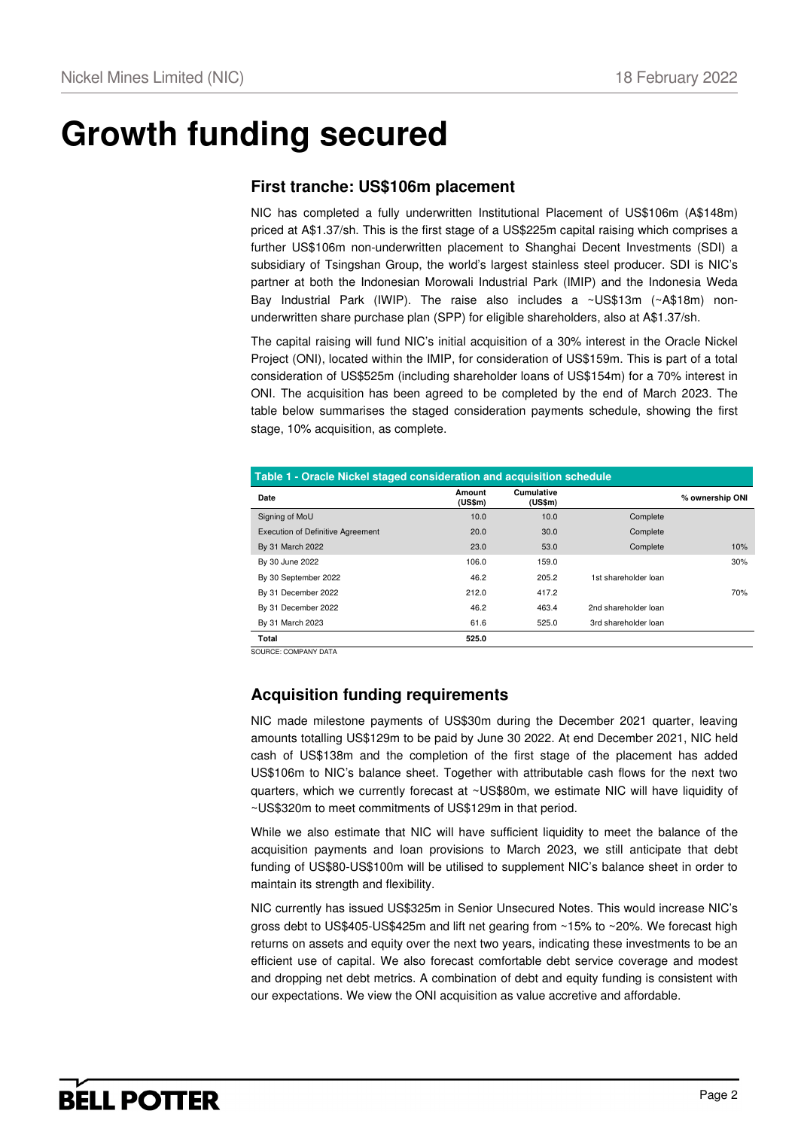# **Growth funding secured**

### **First tranche: US\$106m placement**

NIC has completed a fully underwritten Institutional Placement of US\$106m (A\$148m) priced at A\$1.37/sh. This is the first stage of a US\$225m capital raising which comprises a further US\$106m non-underwritten placement to Shanghai Decent Investments (SDI) a subsidiary of Tsingshan Group, the world's largest stainless steel producer. SDI is NIC's partner at both the Indonesian Morowali Industrial Park (IMIP) and the Indonesia Weda Bay Industrial Park (IWIP). The raise also includes a ~US\$13m (~A\$18m) nonunderwritten share purchase plan (SPP) for eligible shareholders, also at A\$1.37/sh.

The capital raising will fund NIC's initial acquisition of a 30% interest in the Oracle Nickel Project (ONI), located within the IMIP, for consideration of US\$159m. This is part of a total consideration of US\$525m (including shareholder loans of US\$154m) for a 70% interest in ONI. The acquisition has been agreed to be completed by the end of March 2023. The table below summarises the staged consideration payments schedule, showing the first stage, 10% acquisition, as complete.

| Table 1 - Oracle Nickel staged consideration and acquisition schedule |                   |                       |                      |                 |  |  |  |  |  |  |
|-----------------------------------------------------------------------|-------------------|-----------------------|----------------------|-----------------|--|--|--|--|--|--|
| Date                                                                  | Amount<br>(US\$m) | Cumulative<br>(US\$m) |                      | % ownership ONI |  |  |  |  |  |  |
| Signing of MoU                                                        | 10.0              | 10.0                  | Complete             |                 |  |  |  |  |  |  |
| <b>Execution of Definitive Agreement</b>                              | 20.0              | 30.0                  | Complete             |                 |  |  |  |  |  |  |
| By 31 March 2022                                                      | 23.0              | 53.0                  | Complete             | 10%             |  |  |  |  |  |  |
| By 30 June 2022                                                       | 106.0             | 159.0                 |                      | 30%             |  |  |  |  |  |  |
| By 30 September 2022                                                  | 46.2              | 205.2                 | 1st shareholder loan |                 |  |  |  |  |  |  |
| By 31 December 2022                                                   | 212.0             | 417.2                 |                      | 70%             |  |  |  |  |  |  |
| By 31 December 2022                                                   | 46.2              | 463.4                 | 2nd shareholder loan |                 |  |  |  |  |  |  |
| By 31 March 2023                                                      | 61.6              | 525.0                 | 3rd shareholder loan |                 |  |  |  |  |  |  |
| Total                                                                 | 525.0             |                       |                      |                 |  |  |  |  |  |  |

SOURCE: COMPANY DATA

## **Acquisition funding requirements**

NIC made milestone payments of US\$30m during the December 2021 quarter, leaving amounts totalling US\$129m to be paid by June 30 2022. At end December 2021, NIC held cash of US\$138m and the completion of the first stage of the placement has added US\$106m to NIC's balance sheet. Together with attributable cash flows for the next two quarters, which we currently forecast at ~US\$80m, we estimate NIC will have liquidity of ~US\$320m to meet commitments of US\$129m in that period.

While we also estimate that NIC will have sufficient liquidity to meet the balance of the acquisition payments and loan provisions to March 2023, we still anticipate that debt funding of US\$80-US\$100m will be utilised to supplement NIC's balance sheet in order to maintain its strength and flexibility.

NIC currently has issued US\$325m in Senior Unsecured Notes. This would increase NIC's gross debt to US\$405-US\$425m and lift net gearing from ~15% to ~20%. We forecast high returns on assets and equity over the next two years, indicating these investments to be an efficient use of capital. We also forecast comfortable debt service coverage and modest and dropping net debt metrics. A combination of debt and equity funding is consistent with our expectations. We view the ONI acquisition as value accretive and affordable.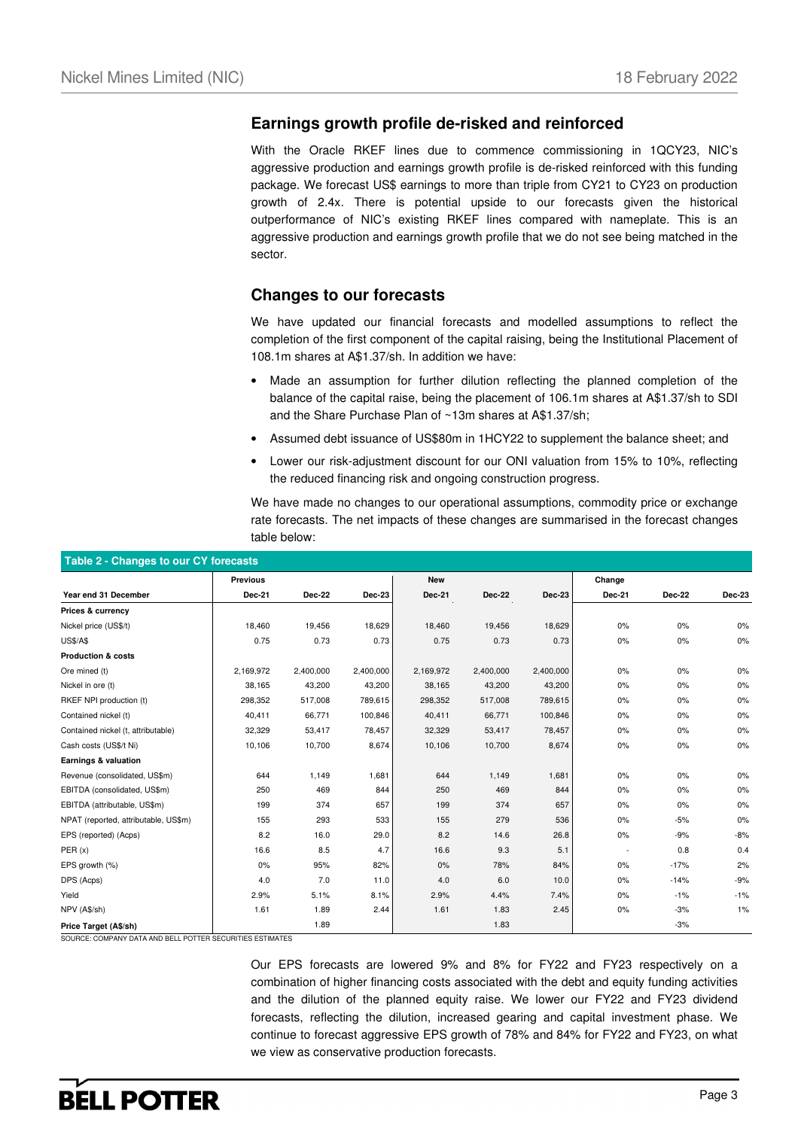### **Earnings growth profile de-risked and reinforced**

With the Oracle RKEF lines due to commence commissioning in 1QCY23, NIC's aggressive production and earnings growth profile is de-risked reinforced with this funding package. We forecast US\$ earnings to more than triple from CY21 to CY23 on production growth of 2.4x. There is potential upside to our forecasts given the historical outperformance of NIC's existing RKEF lines compared with nameplate. This is an aggressive production and earnings growth profile that we do not see being matched in the sector.

### **Changes to our forecasts**

We have updated our financial forecasts and modelled assumptions to reflect the completion of the first component of the capital raising, being the Institutional Placement of 108.1m shares at A\$1.37/sh. In addition we have:

- Made an assumption for further dilution reflecting the planned completion of the balance of the capital raise, being the placement of 106.1m shares at A\$1.37/sh to SDI and the Share Purchase Plan of ~13m shares at A\$1.37/sh;
- Assumed debt issuance of US\$80m in 1HCY22 to supplement the balance sheet; and
- Lower our risk-adjustment discount for our ONI valuation from 15% to 10%, reflecting the reduced financing risk and ongoing construction progress.

We have made no changes to our operational assumptions, commodity price or exchange rate forecasts. The net impacts of these changes are summarised in the forecast changes table below:

| Table 2 - Changes to our CY forecasts |                 |               |           |            |               |               |               |        |        |  |  |
|---------------------------------------|-----------------|---------------|-----------|------------|---------------|---------------|---------------|--------|--------|--|--|
|                                       | <b>Previous</b> |               |           | <b>New</b> |               |               | Change        |        |        |  |  |
| Year end 31 December                  | Dec-21          | <b>Dec-22</b> | Dec-23    | Dec-21     | <b>Dec-22</b> | <b>Dec-23</b> | <b>Dec-21</b> | Dec-22 | Dec-23 |  |  |
| Prices & currency                     |                 |               |           |            |               |               |               |        |        |  |  |
| Nickel price (US\$/t)                 | 18,460          | 19,456        | 18,629    | 18,460     | 19,456        | 18,629        | 0%            | $0\%$  | $0\%$  |  |  |
| <b>US\$/A\$</b>                       | 0.75            | 0.73          | 0.73      | 0.75       | 0.73          | 0.73          | 0%            | 0%     | $0\%$  |  |  |
| <b>Production &amp; costs</b>         |                 |               |           |            |               |               |               |        |        |  |  |
| Ore mined (t)                         | 2,169,972       | 2,400,000     | 2,400,000 | 2,169,972  | 2,400,000     | 2,400,000     | 0%            | $0\%$  | 0%     |  |  |
| Nickel in ore (t)                     | 38,165          | 43,200        | 43,200    | 38,165     | 43,200        | 43,200        | 0%            | $0\%$  | 0%     |  |  |
| RKEF NPI production (t)               | 298,352         | 517,008       | 789,615   | 298,352    | 517,008       | 789,615       | 0%            | 0%     | 0%     |  |  |
| Contained nickel (t)                  | 40,411          | 66,771        | 100,846   | 40,411     | 66,771        | 100,846       | 0%            | $0\%$  | 0%     |  |  |
| Contained nickel (t, attributable)    | 32,329          | 53,417        | 78,457    | 32,329     | 53,417        | 78,457        | 0%            | 0%     | 0%     |  |  |
| Cash costs (US\$/t Ni)                | 10,106          | 10,700        | 8,674     | 10,106     | 10,700        | 8,674         | 0%            | 0%     | 0%     |  |  |
| Earnings & valuation                  |                 |               |           |            |               |               |               |        |        |  |  |
| Revenue (consolidated, US\$m)         | 644             | 1,149         | 1,681     | 644        | 1,149         | 1,681         | 0%            | 0%     | 0%     |  |  |
| EBITDA (consolidated, US\$m)          | 250             | 469           | 844       | 250        | 469           | 844           | 0%            | 0%     | 0%     |  |  |
| EBITDA (attributable, US\$m)          | 199             | 374           | 657       | 199        | 374           | 657           | 0%            | 0%     | 0%     |  |  |
| NPAT (reported, attributable, US\$m)  | 155             | 293           | 533       | 155        | 279           | 536           | 0%            | $-5%$  | 0%     |  |  |
| EPS (reported) (Acps)                 | 8.2             | 16.0          | 29.0      | 8.2        | 14.6          | 26.8          | $0\%$         | $-9%$  | $-8%$  |  |  |
| PER(x)                                | 16.6            | 8.5           | 4.7       | 16.6       | 9.3           | 5.1           |               | 0.8    | 0.4    |  |  |
| EPS growth (%)                        | 0%              | 95%           | 82%       | 0%         | 78%           | 84%           | 0%            | $-17%$ | 2%     |  |  |
| DPS (Acps)                            | 4.0             | 7.0           | 11.0      | 4.0        | 6.0           | 10.0          | 0%            | $-14%$ | $-9%$  |  |  |
| Yield                                 | 2.9%            | 5.1%          | 8.1%      | 2.9%       | 4.4%          | 7.4%          | 0%            | $-1%$  | $-1%$  |  |  |
| NPV (A\$/sh)                          | 1.61            | 1.89          | 2.44      | 1.61       | 1.83          | 2.45          | $0\%$         | $-3%$  | 1%     |  |  |
| Price Target (A\$/sh)                 |                 | 1.89          |           |            | 1.83          |               |               | $-3%$  |        |  |  |

SOURCE: COMPANY DATA AND BELL POTTER SECURITIES ESTIMATES

Our EPS forecasts are lowered 9% and 8% for FY22 and FY23 respectively on a combination of higher financing costs associated with the debt and equity funding activities and the dilution of the planned equity raise. We lower our FY22 and FY23 dividend forecasts, reflecting the dilution, increased gearing and capital investment phase. We continue to forecast aggressive EPS growth of 78% and 84% for FY22 and FY23, on what we view as conservative production forecasts.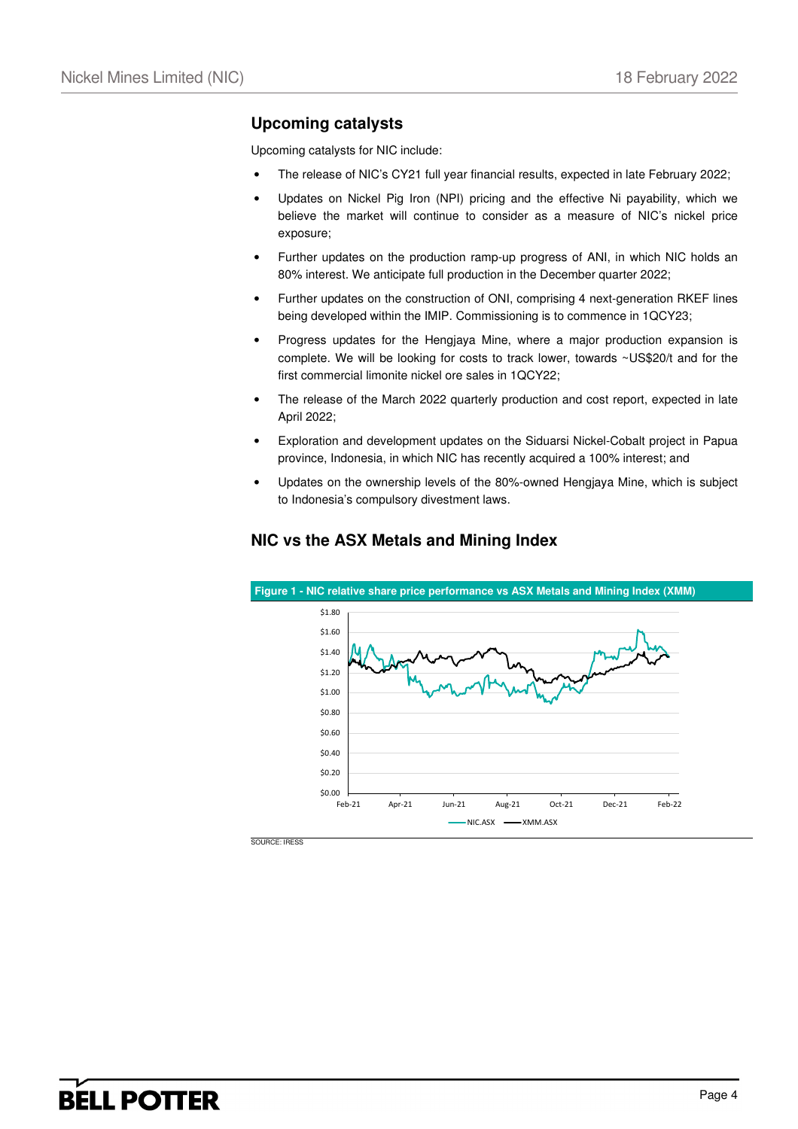### **Upcoming catalysts**

Upcoming catalysts for NIC include:

- The release of NIC's CY21 full year financial results, expected in late February 2022;
- Updates on Nickel Pig Iron (NPI) pricing and the effective Ni payability, which we believe the market will continue to consider as a measure of NIC's nickel price exposure;
- Further updates on the production ramp-up progress of ANI, in which NIC holds an 80% interest. We anticipate full production in the December quarter 2022;
- Further updates on the construction of ONI, comprising 4 next-generation RKEF lines being developed within the IMIP. Commissioning is to commence in 1QCY23;
- Progress updates for the Hengjaya Mine, where a major production expansion is complete. We will be looking for costs to track lower, towards ~US\$20/t and for the first commercial limonite nickel ore sales in 1QCY22;
- The release of the March 2022 quarterly production and cost report, expected in late April 2022;
- Exploration and development updates on the Siduarsi Nickel-Cobalt project in Papua province, Indonesia, in which NIC has recently acquired a 100% interest; and
- Updates on the ownership levels of the 80%-owned Hengjaya Mine, which is subject to Indonesia's compulsory divestment laws.



### **NIC vs the ASX Metals and Mining Index**

SOURCE: IRESS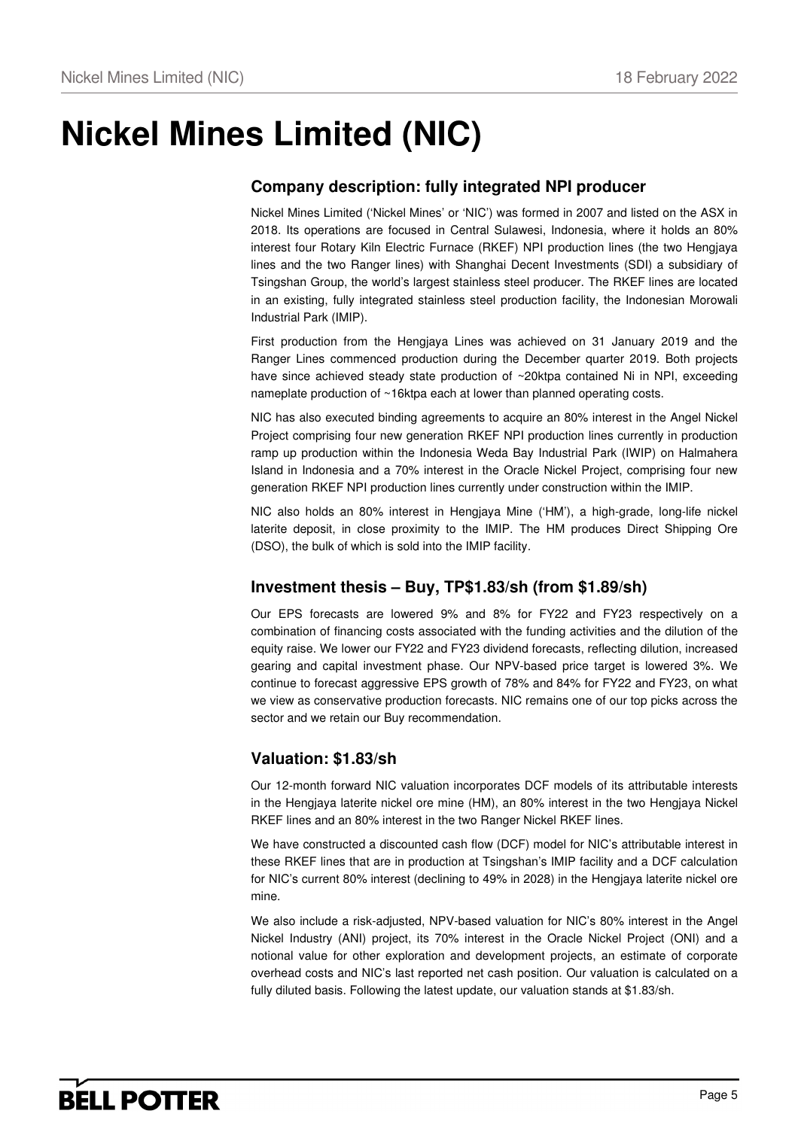# **Nickel Mines Limited (NIC)**

### **Company description: fully integrated NPI producer**

Nickel Mines Limited ('Nickel Mines' or 'NIC') was formed in 2007 and listed on the ASX in 2018. Its operations are focused in Central Sulawesi, Indonesia, where it holds an 80% interest four Rotary Kiln Electric Furnace (RKEF) NPI production lines (the two Hengjaya lines and the two Ranger lines) with Shanghai Decent Investments (SDI) a subsidiary of Tsingshan Group, the world's largest stainless steel producer. The RKEF lines are located in an existing, fully integrated stainless steel production facility, the Indonesian Morowali Industrial Park (IMIP).

First production from the Hengjaya Lines was achieved on 31 January 2019 and the Ranger Lines commenced production during the December quarter 2019. Both projects have since achieved steady state production of ~20ktpa contained Ni in NPI, exceeding nameplate production of ~16ktpa each at lower than planned operating costs.

NIC has also executed binding agreements to acquire an 80% interest in the Angel Nickel Project comprising four new generation RKEF NPI production lines currently in production ramp up production within the Indonesia Weda Bay Industrial Park (IWIP) on Halmahera Island in Indonesia and a 70% interest in the Oracle Nickel Project, comprising four new generation RKEF NPI production lines currently under construction within the IMIP.

NIC also holds an 80% interest in Hengjaya Mine ('HM'), a high-grade, long-life nickel laterite deposit, in close proximity to the IMIP. The HM produces Direct Shipping Ore (DSO), the bulk of which is sold into the IMIP facility.

### **Investment thesis – Buy, TP\$1.83/sh (from \$1.89/sh)**

Our EPS forecasts are lowered 9% and 8% for FY22 and FY23 respectively on a combination of financing costs associated with the funding activities and the dilution of the equity raise. We lower our FY22 and FY23 dividend forecasts, reflecting dilution, increased gearing and capital investment phase. Our NPV-based price target is lowered 3%. We continue to forecast aggressive EPS growth of 78% and 84% for FY22 and FY23, on what we view as conservative production forecasts. NIC remains one of our top picks across the sector and we retain our Buy recommendation.

### **Valuation: \$1.83/sh**

Our 12-month forward NIC valuation incorporates DCF models of its attributable interests in the Hengjaya laterite nickel ore mine (HM), an 80% interest in the two Hengjaya Nickel RKEF lines and an 80% interest in the two Ranger Nickel RKEF lines.

We have constructed a discounted cash flow (DCF) model for NIC's attributable interest in these RKEF lines that are in production at Tsingshan's IMIP facility and a DCF calculation for NIC's current 80% interest (declining to 49% in 2028) in the Hengjaya laterite nickel ore mine.

We also include a risk-adjusted, NPV-based valuation for NIC's 80% interest in the Angel Nickel Industry (ANI) project, its 70% interest in the Oracle Nickel Project (ONI) and a notional value for other exploration and development projects, an estimate of corporate overhead costs and NIC's last reported net cash position. Our valuation is calculated on a fully diluted basis. Following the latest update, our valuation stands at \$1.83/sh.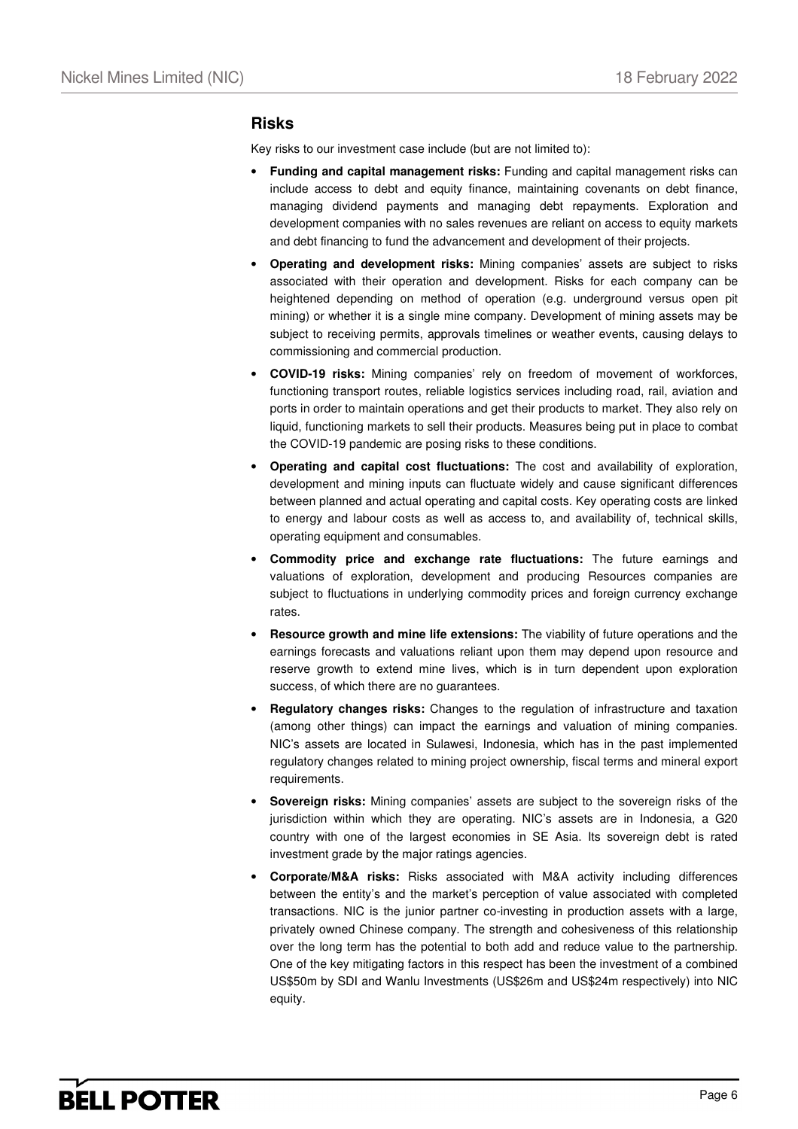### **Risks**

Key risks to our investment case include (but are not limited to):

- **Funding and capital management risks:** Funding and capital management risks can include access to debt and equity finance, maintaining covenants on debt finance, managing dividend payments and managing debt repayments. Exploration and development companies with no sales revenues are reliant on access to equity markets and debt financing to fund the advancement and development of their projects.
- **Operating and development risks:** Mining companies' assets are subject to risks associated with their operation and development. Risks for each company can be heightened depending on method of operation (e.g. underground versus open pit mining) or whether it is a single mine company. Development of mining assets may be subject to receiving permits, approvals timelines or weather events, causing delays to commissioning and commercial production.
- **COVID-19 risks:** Mining companies' rely on freedom of movement of workforces, functioning transport routes, reliable logistics services including road, rail, aviation and ports in order to maintain operations and get their products to market. They also rely on liquid, functioning markets to sell their products. Measures being put in place to combat the COVID-19 pandemic are posing risks to these conditions.
- **Operating and capital cost fluctuations:** The cost and availability of exploration, development and mining inputs can fluctuate widely and cause significant differences between planned and actual operating and capital costs. Key operating costs are linked to energy and labour costs as well as access to, and availability of, technical skills, operating equipment and consumables.
- **Commodity price and exchange rate fluctuations:** The future earnings and valuations of exploration, development and producing Resources companies are subject to fluctuations in underlying commodity prices and foreign currency exchange rates.
- **Resource growth and mine life extensions:** The viability of future operations and the earnings forecasts and valuations reliant upon them may depend upon resource and reserve growth to extend mine lives, which is in turn dependent upon exploration success, of which there are no guarantees.
- **Regulatory changes risks:** Changes to the regulation of infrastructure and taxation (among other things) can impact the earnings and valuation of mining companies. NIC's assets are located in Sulawesi, Indonesia, which has in the past implemented regulatory changes related to mining project ownership, fiscal terms and mineral export requirements.
- **Sovereign risks:** Mining companies' assets are subject to the sovereign risks of the jurisdiction within which they are operating. NIC's assets are in Indonesia, a G20 country with one of the largest economies in SE Asia. Its sovereign debt is rated investment grade by the major ratings agencies.
- **Corporate/M&A risks:** Risks associated with M&A activity including differences between the entity's and the market's perception of value associated with completed transactions. NIC is the junior partner co-investing in production assets with a large, privately owned Chinese company. The strength and cohesiveness of this relationship over the long term has the potential to both add and reduce value to the partnership. One of the key mitigating factors in this respect has been the investment of a combined US\$50m by SDI and Wanlu Investments (US\$26m and US\$24m respectively) into NIC equity.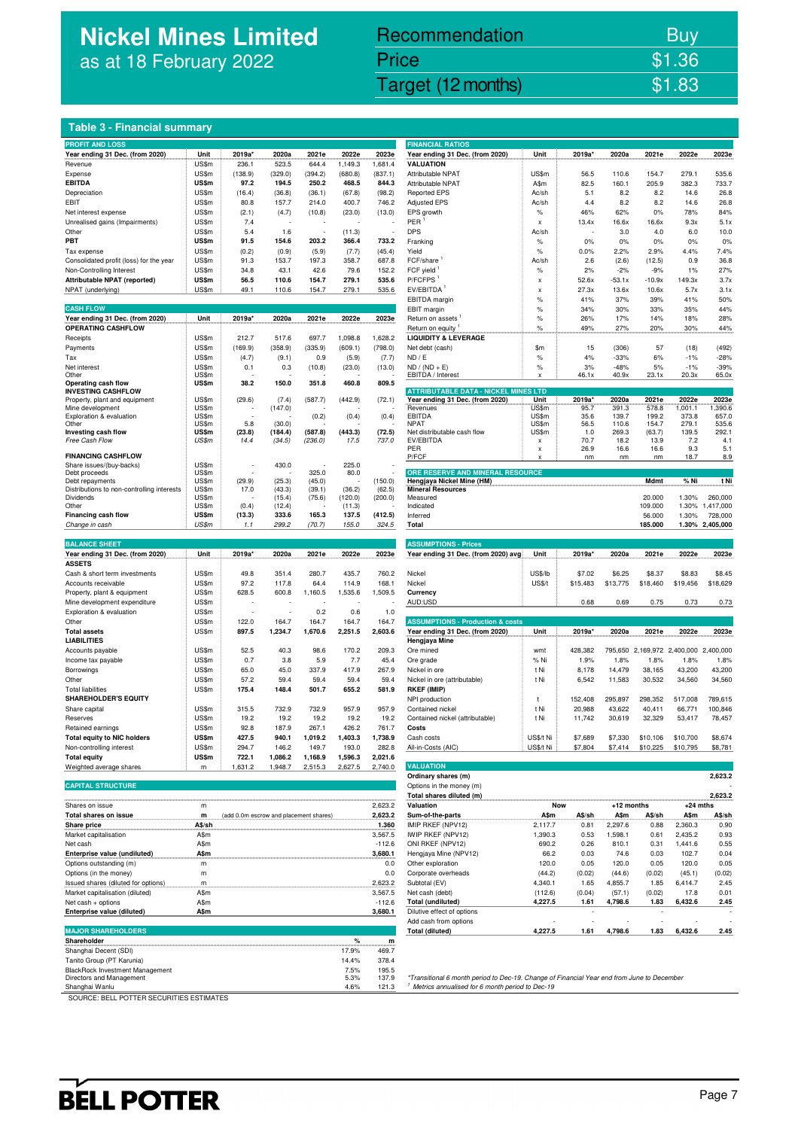## **Nickel Mines Limited**  as at 18 February 2022

# Recommendation Buy Price \$1.36

Nickel Mines Limited (Nickel Mines Limited (Nickel Mines Limited States 1984) and the States (Nickel Mines Limited States 1988) and the States of the States of the States 1989 and the States of the States of the States 198

**FINANCIAL RATIOS** 

|  |  | Table 3 - Financial summary |
|--|--|-----------------------------|
|--|--|-----------------------------|

| <b>PROFIT AND LOSS</b>                     |       |         |                  |         |         |         | <b>FINANCIAL RATIOS</b>                                       |                           |          |          |          |                             |                 |
|--------------------------------------------|-------|---------|------------------|---------|---------|---------|---------------------------------------------------------------|---------------------------|----------|----------|----------|-----------------------------|-----------------|
| Year ending 31 Dec. (from 2020)            | Unit  | 2019a   | 2020a            | 2021e   | 2022e   | 2023e   | Year ending 31 Dec. (from 2020)                               | Unit                      | 2019a*   | 2020a    | 2021e    | 2022e                       | 2023e           |
| Revenue                                    | US\$m | 236.1   | 523.5            | 644.4   | 1,149.3 | 1,681.4 | <b>VALUATION</b>                                              |                           |          |          |          |                             |                 |
| Expense                                    | US\$m | (138.9) | (329.0)          | (394.2) | (680.8) | (837.1) | Attributable NPAT                                             | US\$m                     | 56.5     | 110.6    | 154.7    | 279.1                       | 535.6           |
| <b>EBITDA</b>                              | US\$m | 97.2    | 194.5            | 250.2   | 468.5   | 844.3   | Attributable NPAT                                             |                           | 82.5     | 160.1    | 205.9    | 382.3                       | 733.7           |
|                                            |       |         |                  |         |         |         |                                                               | A\$m                      |          |          |          |                             |                 |
| Depreciation                               | US\$m | (16.4)  | (36.8)           | (36.1)  | (67.8)  | (98.2)  | <b>Reported EPS</b>                                           | Ac/sh                     | 5.1      | 8.2      | 8.2      | 14.6                        | 26.8            |
| EBIT                                       | US\$m | 80.8    | 157.7            | 214.0   | 400.7   | 746.2   | <b>Adjusted EPS</b>                                           | Ac/sh                     | 4.4      | 8.2      | 8.2      | 14.6                        | 26.8            |
| Net interest expense                       | US\$m | (2.1)   | (4.7)            | (10.8)  | (23.0)  | (13.0)  | EPS growth                                                    | $\%$                      | 46%      | 62%      | $0\%$    | 78%                         | 84%             |
| Unrealised gains (Impairments)             | US\$m | 7.4     |                  |         |         |         | PER                                                           | X                         | 13.4x    | 16.6x    | 16.6x    | 9.3x                        | 5.1x            |
| Other                                      | US\$m | 5.4     | 1.6              | J.      | (11.3)  |         | <b>DPS</b>                                                    | Ac/sh                     |          | 3.0      | 4.0      | 6.0                         | 10.0            |
| PBT                                        | US\$m | 91.5    | 154.6            | 203.2   | 366.4   | 733.2   | Franking                                                      | $\%$                      | 0%       | 0%       | 0%       | 0%                          | 0%              |
|                                            |       |         |                  |         |         |         |                                                               |                           |          | 2.2%     | 2.9%     |                             |                 |
| Tax expense                                | US\$m | (0.2)   | (0.9)            | (5.9)   | (7.7)   | (45.4)  | Yield                                                         | $\%$                      | 0.0%     |          |          | 4.4%                        | 7.4%            |
| Consolidated profit (loss) for the year    | US\$m | 91.3    | 153.7            | 197.3   | 358.7   | 687.8   | FCF/share                                                     | Ac/sh                     | 2.6      | (2.6)    | (12.5)   | 0.9                         | 36.8            |
| Non-Controlling Interest                   | US\$m | 34.8    | 43.1             | 42.6    | 79.6    | 152.2   | FCF yield                                                     | $\%$                      | 2%       | $-2%$    | $-9%$    | 1%                          | 27%             |
| Attributable NPAT (reported)               | US\$m | 56.5    | 110.6            | 154.7   | 279.1   | 535.6   | P/FCFPS                                                       | X                         | 52.6x    | $-53.1x$ | $-10.9x$ | 149.3x                      | 3.7x            |
| NPAT (underlying)                          | US\$m | 49.1    | 110.6            | 154.7   | 279.1   | 535.6   | EV/EBITDA <sup>1</sup>                                        | $\boldsymbol{\mathsf{x}}$ | 27.3x    | 13.6x    | 10.6x    | 5.7x                        | 3.1x            |
|                                            |       |         |                  |         |         |         | EBITDA margin                                                 | $\%$                      | 41%      | 37%      | 39%      | 41%                         | 50%             |
| <b>CASH FLOW</b>                           |       |         |                  |         |         |         | EBIT margin                                                   | $\%$                      | 34%      | 30%      | 33%      | 35%                         | 44%             |
|                                            |       |         |                  |         |         |         |                                                               |                           |          |          |          |                             |                 |
| Year ending 31 Dec. (from 2020)            | Unit  | 2019a*  | 2020a            | 2021e   | 2022e   | 2023e   | Return on assets                                              | $\%$                      | 26%      | 17%      | 14%      | 18%                         | 28%             |
| <b>OPERATING CASHFLOW</b>                  |       |         |                  |         |         |         | Return on equity                                              | %                         | 49%      | 27%      | 20%      | 30%                         | 44%             |
| Receipts                                   | US\$m | 212.7   | 517.6            | 697.7   | 1,098.8 | 1,628.2 | <b>LIQUIDITY &amp; LEVERAGE</b>                               |                           |          |          |          |                             |                 |
| Payments                                   | US\$m | (169.9) | (358.9)          | (335.9) | (609.1) | (798.0) | Net debt (cash)                                               | \$m                       | 15       | (306)    | 57       | (18)                        | (492)           |
| Tax                                        | US\$m | (4.7)   | (9.1)            | 0.9     | (5.9)   | (7.7)   | ND / E                                                        | $\%$                      | 4%       | $-33%$   | 6%       | $-1%$                       | $-28%$          |
| Net interest                               | US\$m | 0.1     | 0.3              | (10.8)  | (23.0)  | (13.0)  | $ND / (ND + E)$                                               | $\%$                      | 3%       | $-48%$   | 5%       | $-1%$                       | $-39%$          |
| Other                                      | US\$m |         |                  |         |         |         | EBITDA / Interest                                             |                           | 46.1x    | 40.9x    | 23.1x    | 20.3x                       | 65.0x           |
| Operating cash flow                        | US\$m | 38.2    | 150.0            | 351.8   | 460.8   | 809.5   |                                                               |                           |          |          |          |                             |                 |
| <b>INVESTING CASHFLOW</b>                  |       |         |                  |         |         |         | <b>ATTRIBUTABLE DATA - NICKEL MINES LTD</b>                   |                           |          |          |          |                             |                 |
| Property, plant and equipment              | US\$m | (29.6)  | (7.4)            | (587.7) | (442.9) | (72.1)  | Year ending 31 Dec. (from 2020)                               | Unit                      | 2019a*   | 2020a    | 2021e    | 2022e                       | 2023e           |
| Mine development                           | US\$m |         | (147.0)          |         |         |         | Revenues                                                      | US\$m                     | 95.7     | 391.3    | 578.8    | 1,001.1                     | 1,390.6         |
| Exploration & evaluation                   | US\$m |         |                  | (0.2)   | (0.4)   | (0.4)   | EBITDA                                                        | US\$m                     | 35.6     | 139.7    | 199.2    | 373.8                       | 657.0           |
| Other                                      | US\$m | 5.8     | (30.0)           |         |         |         | <b>NPAT</b>                                                   | US\$m                     | 56.5     | 110.6    | 154.7    | 279.1                       | 535.6           |
| Investing cash flow                        | US\$m | (23.8)  | (184.4)          | (587.8) | (443.3) | (72.5)  | Net distributable cash flow                                   | US\$m                     | 1.0      | 269.3    | (63.7)   | 139.5                       | 292.1           |
| Free Cash Flow                             | US\$m | 14.4    | (34.5)           | (236.0) | 17.5    | 737.0   | EV/EBITDA                                                     | $\boldsymbol{\mathsf{x}}$ | 70.7     | 18.2     | 13.9     | 7.2                         | 4.1             |
|                                            |       |         |                  |         |         |         | PER                                                           | X                         | 26.9     | 16.6     | 16.6     | 9.3                         | 5.1             |
| <b>FINANCING CASHFLOW</b>                  |       |         |                  |         |         |         | P/FCF                                                         |                           | nm       | nm       | nm       | 18.7                        | 8.9             |
| Share issues/(buy-backs)                   | US\$m |         | 430.0            |         | 225.0   |         |                                                               |                           |          |          |          |                             |                 |
|                                            |       |         |                  |         |         |         |                                                               |                           |          |          |          |                             |                 |
| Debt proceeds                              | US\$m |         |                  | 325.0   | 80.0    |         |                                                               |                           |          |          |          |                             |                 |
| Debt repayments                            | US\$m | (29.9)  | (25.3)           | (45.0)  |         | (150.0) | ORE RESERVE AND MINERAL RESOURCE<br>Hengjaya Nickel Mine (HM) |                           |          |          | Mdmt     | % Ni                        | t Ni            |
| Distributions to non-controlling interests | US\$m | 17.0    | (43.3)           | (39.1)  | (36.2)  | (62.5)  | <b>Mineral Resources</b>                                      |                           |          |          |          |                             |                 |
| Dividends                                  | US\$m |         |                  |         | (120.0) |         | Measured                                                      |                           |          |          | 20.000   | 1.30%                       | 260,000         |
| Other                                      | US\$m | (0.4)   | (15.4)<br>(12.4) | (75.6)  | (11.3)  | (200.0) | Indicated                                                     |                           |          |          | 109.000  | 1.30%                       | 1,417,000       |
|                                            |       |         |                  |         |         |         |                                                               |                           |          |          |          |                             |                 |
| Financing cash flow                        | US\$m | (13.3)  | 333.6            | 165.3   | 137.5   | (412.5) | Inferred                                                      |                           |          |          | 56.000   | 1.30%                       | 728,000         |
| Change in cash                             | US\$m | 1.1     | 299.2            | (70.7)  | 155.0   | 324.5   | Total                                                         |                           |          |          | 185.000  |                             | 1.30% 2,405,000 |
|                                            |       |         |                  |         |         |         |                                                               |                           |          |          |          |                             |                 |
| <b>BALANCE SHEET</b>                       |       |         |                  |         |         |         | <b>ASSUMPTIONS - Prices</b>                                   |                           |          |          |          |                             |                 |
| Year ending 31 Dec. (from 2020)            | Unit  | 2019a*  | 2020a            | 2021e   | 2022e   | 2023e   | Year ending 31 Dec. (from 2020) avg                           | Unit                      | 2019a*   | 2020a    | 2021e    | 2022e                       | 2023e           |
| <b>ASSETS</b>                              |       |         |                  |         |         |         |                                                               |                           |          |          |          |                             |                 |
| Cash & short term investments              | US\$m | 49.8    | 351.4            | 280.7   | 435.7   | 760.2   | Nickel                                                        | US\$/lb                   | \$7.02   | \$6.25   | \$8.37   | \$8.83                      | \$8.45          |
| Accounts receivable                        | US\$m | 97.2    | 117.8            | 64.4    | 114.9   | 168.1   | Nickel                                                        | <b>US\$/t</b>             | \$15,483 | \$13,775 | \$18,460 | \$19,456                    | \$18,629        |
|                                            |       |         |                  |         |         |         |                                                               |                           |          |          |          |                             |                 |
| Property, plant & equipment                | US\$m | 628.5   | 600.8            | 1,160.5 | 1,535.6 | 1,509.5 | Currency                                                      |                           |          |          |          |                             |                 |
| Mine development expenditure               | US\$m |         |                  |         |         |         | AUD:USD                                                       |                           | 0.68     | 0.69     | 0.75     | 0.73                        | 0.73            |
| Exploration & evaluation                   | US\$m | J.      |                  | 0.2     | 0.6     | 1.0     |                                                               |                           |          |          |          |                             |                 |
| Other                                      | US\$m | 122.0   | 164.7            | 164.7   | 164.7   | 164.7   | <b>ASSUMPTIONS - Production &amp; costs</b>                   |                           |          |          |          |                             |                 |
| <b>Total assets</b>                        | US\$m | 897.5   | 1,234.7          | 1,670.6 | 2,251.5 | 2,603.6 | Year ending 31 Dec. (from 2020)                               | Unit                      | 2019a*   | 2020a    | 2021e    | 2022e                       | 2023e           |
| <b>LIABILITIES</b>                         |       |         |                  |         |         |         |                                                               |                           |          |          |          |                             |                 |
|                                            |       |         |                  |         |         |         | Hengjaya Mine                                                 |                           |          |          |          |                             |                 |
| Accounts payable                           | US\$m | 52.5    | 40.3             | 98.6    | 170.2   | 209.3   | Ore mined                                                     | wmt                       | 428,382  |          |          | 795,650 2,169,972 2,400,000 | 2,400,000       |
| Income tax payable                         | US\$m | 0.7     | 3.8              | 5.9     | 7.7     | 45.4    | Ore grade                                                     | % Ni                      | 1.9%     | 1.8%     | 1.8%     | 1.8%                        | 1.8%            |
| Borrowings                                 | US\$m | 65.0    | 45.0             | 337.9   | 417.9   | 267.9   | Nickel in ore                                                 | t Ni                      | 8,178    | 14,479   | 38,165   | 43,200                      | 43,200          |
| Other                                      | US\$m | 57.2    | 59.4             | 59.4    | 59.4    | 59.4    | Nickel in ore (attributable)                                  | t Ni                      | 6,542    | 11,583   | 30,532   | 34,560                      | 34,560          |
| <b>Total liabilities</b>                   | US\$m | 175.4   | 148.4            | 501.7   | 655.2   | 581.9   | <b>RKEF (IMIP)</b>                                            |                           |          |          |          |                             |                 |
|                                            |       |         |                  |         |         |         |                                                               |                           |          |          |          |                             |                 |
| <b>SHAREHOLDER'S EQUITY</b>                |       |         |                  |         |         |         | NPI production                                                | $\mathbf{t}$              | 152,408  | 295,897  | 298,352  | 517,008                     | 789,615         |
| Share capital                              | US\$m | 315.5   | 732.9            | 732.9   | 957.9   | 957.9   | Contained nickel                                              | t Ni                      | 20,988   | 43,622   | 40,411   | 66,771                      | 100,846         |
| Reserves                                   | US\$m | 19.2    | 19.2             | 19.2    | 19.2    | 19.2    | Contained nickel (attributable)                               | t Ni                      | 11,742   | 30,619   | 32,329   | 53,417                      | 78,457          |
| Retained earnings                          | US\$m | 92.8    | 187.9            | 267.1   | 426.2   | 761.7   | Costs                                                         |                           |          |          |          |                             |                 |
| <b>Total equity to NIC holders</b>         | US\$m | 427.5   | 940.1            | 1,019.2 | 1,403.3 | 1,738.9 | Cash costs                                                    | US\$/t Ni                 | \$7,689  | \$7,330  | \$10,106 | \$10,700                    | \$8,674         |
| Non-controlling interest                   | US\$m | 294.7   | 146.2            | 149.7   | 193.0   | 282.8   | All-in-Costs (AIC)                                            | US\$/t Ni                 |          | \$7,414  |          | \$10,795                    |                 |
|                                            |       |         |                  |         |         |         |                                                               |                           | \$7,804  |          | \$10,225 |                             | \$8,781         |
| <b>Total equity</b>                        | US\$m | 722.1   | 1,086.2          | 1,168.9 | 1,596.3 | 2,021.6 |                                                               |                           |          |          |          |                             |                 |
| Weighted average shares                    | m     | 1,631.2 | 1,948.7          | 2,515.3 | 2,627.5 | 2,740.0 | <b>VALUATION</b>                                              |                           |          |          |          |                             |                 |
| CAPITAL STRUCTURE                          |       |         |                  |         |         |         | Ordinary shares (m)<br>Ontions in the money (m)               |                           |          |          |          |                             | 2,623.2         |

|                                     |        |                                        |          | Total shares diluted (m)   |         |        |              |        |            | 2.623.2 |
|-------------------------------------|--------|----------------------------------------|----------|----------------------------|---------|--------|--------------|--------|------------|---------|
| Shares on issue                     | m      |                                        | 2.623.2  | Valuation                  | Now     |        | $+12$ months |        | $+24$ mths |         |
| <b>Total shares on issue</b>        | m      | (add 0.0m escrow and placement shares) | 2.623.2  | Sum-of-the-parts           | A\$m    | A\$/sh | A\$m         | A\$/sh | A\$m       | A\$/sh  |
| Share price                         | A\$/sh |                                        | 1.360    | IMIP RKEF (NPV12)          | 2.117.7 | 0.81   | 2.297.6      | 0.88   | 2.360.3    | 0.90    |
| Market capitalisation               | A\$m   |                                        | 3,567.5  | IWIP RKEF (NPV12)          | 1.390.3 | 0.53   | .598.1       | 0.61   | 2.435.2    | 0.93    |
| Net cash                            | A\$m   |                                        | $-112.6$ | ONI RKEF (NPV12)           | 690.2   | 0.26   | 810.1        | 0.31   | 1.441.6    | 0.55    |
| Enterprise value (undiluted)        | A\$m   |                                        | 3,680.1  | Hengjaya Mine (NPV12)      | 66.2    | 0.03   | 74.6         | 0.03   | 102.7      | 0.04    |
| Options outstanding (m)             | m      |                                        | 0.0      | Other exploration          | 120.0   | 0.05   | 120.0        | 0.05   | 120.0      | 0.05    |
| Options (in the money)              | m      |                                        | 0.0      | Corporate overheads        | (44.2)  | (0.02) | (44.6)       | (0.02) | (45.1)     | (0.02)  |
| Issued shares (diluted for options) |        |                                        | 2,623.2  | Subtotal (EV)              | 4.340.1 | 1.65   | 4.855.7      | 1.85   | 6.414.7    | 2.45    |
| Market capitalisation (diluted)     | A\$m   |                                        | 3.567.5  | Net cash (debt)            | (112.6) | (0.04) | (57.1)       | (0.02) | 17.8       | 0.01    |
| Net cash + options                  | A\$m   |                                        | $-112.6$ | <b>Total (undiluted)</b>   | 4.227.5 | 1.61   | 4.798.6      | 1.83   | 6,432.6    | 2.45    |
| Enterprise value (diluted)          | A\$m   |                                        | 3,680.1  | Dilutive effect of options |         |        |              |        |            |         |

| <b>MAJOR SHAREHOLDERS</b>              |       |       | <b>Total (diluted)</b>                                                                     | 4.227.5 | 1.61 | 4.798.6 | 1.83 | 6.432.6 | 2.45 |
|----------------------------------------|-------|-------|--------------------------------------------------------------------------------------------|---------|------|---------|------|---------|------|
| Shareholder                            |       | m     |                                                                                            |         |      |         |      |         |      |
| Shanghai Decent (SDI)                  | 17.9% | 469.7 |                                                                                            |         |      |         |      |         |      |
| Tanito Group (PT Karunia)              | 14.4% | 378.4 |                                                                                            |         |      |         |      |         |      |
| <b>BlackRock Investment Management</b> | 7.5%  | 195.5 |                                                                                            |         |      |         |      |         |      |
| Directors and Management               | 5.3%  | 137.9 | *Transitional 6 month period to Dec-19. Change of Financial Year end from June to December |         |      |         |      |         |      |
| Shanghai Wanlu                         | 4.6%  | 121.3 | Metrics annualised for 6 month period to Dec-19                                            |         |      |         |      |         |      |

| Expense                                                       | US\$m  | (138.9)                                | (329.0)                  | (394.2) | (680.8) | (837.1)                  | Attributable NPAT                           | US\$m                      | 56.5           | 110.6                  | 154.7         | 279.1                                 | 535.6           |
|---------------------------------------------------------------|--------|----------------------------------------|--------------------------|---------|---------|--------------------------|---------------------------------------------|----------------------------|----------------|------------------------|---------------|---------------------------------------|-----------------|
| EBITDA                                                        | US\$m  | 97.2                                   | 194.5                    | 250.2   | 468.5   | 844.3                    | Attributable NPAT                           | A\$m                       | 82.5           | 160.1                  | 205.9         | 382.3                                 | 733.7           |
| Depreciation                                                  | US\$m  | (16.4)                                 | (36.8)                   | (36.1)  | (67.8)  | (98.2)                   | <b>Reported EPS</b>                         | Ac/sh                      | 5.1            | 8.2                    | 8.2           | 14.6                                  | 26.8            |
| EBIT                                                          | US\$m  | 80.8                                   | 157.7                    | 214.0   | 400.7   | 746.2                    | <b>Adjusted EPS</b>                         | Ac/sh                      | 4.4            | 8.2                    | 8.2           | 14.6                                  | 26.8            |
| Net interest expense                                          | US\$m  | (2.1)                                  | (4.7)                    | (10.8)  | (23.0)  | (13.0)                   | EPS growth                                  | $\%$                       | 46%            | 62%                    | 0%            | 78%                                   | 84%             |
| Unrealised gains (Impairments)                                | US\$m  | 7.4                                    |                          |         |         |                          | PER <sup>1</sup>                            | x                          | 13.4x          | 16.6x                  | 16.6x         | 9.3x                                  | 5.1x            |
| Other                                                         | US\$m  | 5.4                                    | 1.6                      |         | (11.3)  | $\overline{\phantom{a}}$ | <b>DPS</b>                                  | Ac/sh                      |                | 3.0                    | 4.0           | 6.0                                   | 10.0            |
| PBT                                                           | US\$m  | 91.5                                   | 154.6                    | 203.2   | 366.4   | 733.2                    | Franking                                    | %                          | 0%             | 0%                     | 0%            | 0%                                    | 0%              |
|                                                               |        |                                        |                          |         |         |                          |                                             |                            |                |                        |               |                                       |                 |
| Tax expense                                                   | US\$m  | (0.2)                                  | (0.9)                    | (5.9)   | (7.7)   | (45.4)                   | Yield                                       | %                          | 0.0%           | 2.2%                   | 2.9%          | 4.4%                                  | 7.4%            |
| Consolidated profit (loss) for the year                       | US\$m  | 91.3                                   | 153.7                    | 197.3   | 358.7   | 687.8                    | FCF/share                                   | Ac/sh                      | 2.6            | (2.6)                  | (12.5)        | 0.9                                   | 36.8            |
| Non-Controlling Interest                                      | US\$m  | 34.8                                   | 43.1                     | 42.6    | 79.6    | 152.2                    | FCF yield                                   | $\%$                       | 2%             | $-2%$                  | $-9%$         | 1%                                    | 27%             |
| Attributable NPAT (reported)                                  | US\$m  | 56.5                                   | 110.6                    | 154.7   | 279.1   | 535.6                    | P/FCFPS <sup>1</sup>                        | x                          | 52.6x          | $-53.1x$               | $-10.9x$      | 149.3x                                | 3.7x            |
| NPAT (underlying)                                             | US\$m  | 49.1                                   | 110.6                    | 154.7   | 279.1   | 535.6                    | EV/EBITDA <sup>1</sup>                      | X                          | 27.3x          | 13.6x                  | 10.6x         | 5.7x                                  | 3.1x            |
|                                                               |        |                                        |                          |         |         |                          | EBITDA margin                               | $\%$                       | 41%            | 37%                    | 39%           | 41%                                   | 50%             |
| <b>CASH FLOW</b>                                              |        |                                        |                          |         |         |                          | EBIT margin                                 | $\%$                       | 34%            | 30%                    | 33%           | 35%                                   | 44%             |
| Year ending 31 Dec. (from 2020)                               | Unit   | 2019a*                                 | 2020a                    | 2021e   | 2022e   | 2023e                    | Return on assets                            | %                          | 26%            | 17%                    | 14%           | 18%                                   | 28%             |
| <b>OPERATING CASHFLOW</b>                                     |        |                                        |                          |         |         |                          | Return on equity                            | $\%$                       | 49%            | 27%                    | 20%           | 30%                                   | 44%             |
| Receipts                                                      | US\$m  | 212.7                                  | 517.6                    | 697.7   | 1,098.8 | 1,628.2                  | <b>LIQUIDITY &amp; LEVERAGE</b>             |                            |                |                        |               |                                       |                 |
| Payments                                                      | US\$m  | (169.9)                                | (358.9)                  | (335.9) | (609.1) | (798.0)                  | Net debt (cash)                             | \$m                        | 15             | (306)                  | 57            | (18)                                  | (492)           |
| Tax                                                           | US\$m  | (4.7)                                  | (9.1)                    | 0.9     | (5.9)   | (7.7)                    | ND / E                                      | $\%$                       | 4%             | $-33%$                 | 6%            | $-1%$                                 | $-28%$          |
| Net interest                                                  | US\$m  | 0.1                                    | 0.3                      | (10.8)  | (23.0)  | (13.0)                   | $ND / (ND + E)$                             | $\%$                       | 3%             | $-48%$                 | 5%            | $-1%$                                 | $-39%$          |
| Other                                                         | US\$m  |                                        |                          |         |         |                          | EBITDA / Interest                           | x                          | 46.1x          | 40.9x                  | 23.1x         | 20.3x                                 | 65.0x           |
| <b>Operating cash flow</b>                                    | US\$m  | 38.2                                   | 150.0                    | 351.8   | 460.8   | 809.5                    |                                             |                            |                |                        |               |                                       |                 |
| <b>INVESTING CASHFLOW</b>                                     |        |                                        |                          |         |         |                          | <b>ATTRIBUTABLE DATA - NICKEL MINES LTD</b> |                            |                |                        |               |                                       |                 |
| Property, plant and equipment                                 | US\$m  | (29.6)                                 | (7.4)                    | (587.7) | (442.9) | (72.1)                   | Year ending 31 Dec. (from 2020)             | Unit                       | 2019a'         | 2020a                  | 2021e         | 2022e                                 | 2023e           |
| Mine development                                              | US\$m  |                                        | (147.0)                  |         |         |                          | Revenues                                    | US\$m                      | 95.7           | 391.3                  | 578.8         | 1,001.1                               | 1,390.6         |
| Exploration & evaluation                                      | US\$m  |                                        |                          | (0.2)   | (0.4)   | (0.4)                    | <b>EBITDA</b>                               | US\$m                      | 35.6           | 139.7                  | 199.2         | 373.8                                 | 657.0           |
| Other                                                         | US\$m  | 5.8                                    | (30.0)                   |         |         |                          | <b>NPAT</b>                                 | US\$m                      | 56.5           | 110.6                  | 154.7         | 279.1                                 | 535.6           |
| Investing cash flow                                           | US\$m  | (23.8)                                 | (184.4)                  | (587.8) | (443.3) | (72.5)                   | Net distributable cash flow                 | US\$m                      | 1.0            | 269.3                  | (63.7)        | 139.5                                 | 292.1           |
| <b>Free Cash Flow</b>                                         | US\$m  | 14.4                                   | (34.5)                   | (236.0) | 17.5    | 737.0                    | EV/EBITDA                                   | х                          | 70.7           | 18.2                   | 13.9          | 7.2                                   | 4.1             |
| <b>FINANCING CASHFLOW</b>                                     |        |                                        |                          |         |         |                          | PER<br>P/FCF                                | х                          | 26.9           | 16.6                   | 16.6          | 9.3<br>18.7                           | 5.1             |
| Share issues/(buy-backs)                                      | US\$m  |                                        | 430.0                    |         | 225.0   |                          |                                             | X                          | nm             | nm                     | nm            |                                       | 8.9             |
| Debt proceeds                                                 | US\$m  |                                        |                          | 325.0   | 80.0    |                          | ORE RESERVE AND MINERAL RESOURCE            |                            |                |                        |               |                                       |                 |
| Debt repayments                                               | US\$m  | (29.9)                                 | (25.3)                   | (45.0)  |         | (150.0)                  | Hengjaya Nickel Mine (HM)                   |                            |                |                        | Mdmt          | % Ni                                  | t Ni            |
| Distributions to non-controlling interests                    | US\$m  | 17.0                                   | (43.3)                   | (39.1)  | (36.2)  | (62.5)                   | <b>Mineral Resources</b>                    |                            |                |                        |               |                                       |                 |
| Dividends                                                     | US\$m  |                                        | (15.4)                   | (75.6)  | (120.0) | (200.0)                  | Measured                                    |                            |                |                        | 20.000        | 1.30%                                 | 260,000         |
| Other                                                         | US\$m  | (0.4)                                  | (12.4)                   |         | (11.3)  |                          | Indicated                                   |                            |                |                        | 109.000       | 1.30%                                 | 1,417,000       |
| <b>Financing cash flow</b>                                    | US\$m  | (13.3)                                 | 333.6                    | 165.3   | 137.5   | (412.5)                  | Inferred                                    |                            |                |                        | 56.000        | 1.30%                                 | 728,000         |
|                                                               |        |                                        |                          |         |         |                          |                                             |                            |                |                        |               |                                       | 1.30% 2,405,000 |
| Change in cash                                                | US\$m  | 1.1                                    | 299.2                    | (70.7)  | 155.0   | 324.5                    | <b>Total</b>                                |                            |                |                        | 185.000       |                                       |                 |
|                                                               |        |                                        |                          |         |         |                          |                                             |                            |                |                        |               |                                       |                 |
| <b>BALANCE SHEET</b>                                          |        |                                        |                          |         |         |                          | <b>ASSUMPTIONS - Prices</b>                 |                            |                |                        |               |                                       |                 |
|                                                               |        |                                        |                          |         |         |                          |                                             |                            |                |                        |               |                                       |                 |
| Year ending 31 Dec. (from 2020)                               | Unit   | 2019a*                                 | 2020a                    | 2021e   | 2022e   | 2023e                    | Year ending 31 Dec. (from 2020) avg         | Unit                       | 2019a*         | 2020a                  | 2021e         | 2022e                                 | 2023e           |
| ASSETS                                                        |        |                                        |                          |         |         |                          |                                             |                            |                |                        |               |                                       |                 |
| Cash & short term investments                                 | US\$m  | 49.8                                   | 351.4                    | 280.7   | 435.7   | 760.2                    | Nickel                                      | US\$/lb                    | \$7.02         | \$6.25                 | \$8.37        | \$8.83                                | \$8.45          |
| Accounts receivable                                           | US\$m  | 97.2                                   | 117.8                    | 64.4    | 114.9   | 168.1                    | Nickel                                      | US\$/t                     | \$15,483       | \$13,775               | \$18,460      | \$19,456                              | \$18,629        |
| Property, plant & equipment                                   | US\$m  | 628.5                                  | 600.8                    | 1,160.5 | 1,535.6 | 1,509.5                  | Currency                                    |                            |                |                        |               |                                       |                 |
| Mine development expenditure                                  | US\$m  |                                        |                          |         |         |                          | AUD:USD                                     |                            | 0.68           | 0.69                   | 0.75          | 0.73                                  | 0.73            |
| Exploration & evaluation                                      | US\$m  |                                        | $\overline{\phantom{a}}$ | 0.2     | 0.6     | 1.0                      |                                             |                            |                |                        |               |                                       |                 |
| Other                                                         | US\$m  | 122.0                                  | 164.7                    | 164.7   | 164.7   | 164.7                    | <b>ASSUMPTIONS - Production &amp; costs</b> |                            |                |                        |               |                                       |                 |
| <b>Total assets</b>                                           | US\$m  | 897.5                                  | 1,234.7                  | 1,670.6 | 2,251.5 | 2,603.6                  | Year ending 31 Dec. (from 2020)             | Unit                       | 2019a*         | 2020a                  | 2021e         | 2022e                                 | 2023e           |
| LIABILITIES                                                   |        |                                        |                          |         |         |                          | Hengjaya Mine                               |                            |                |                        |               |                                       |                 |
| Accounts payable                                              | US\$m  | 52.5                                   | 40.3                     | 98.6    | 170.2   | 209.3                    | Ore mined                                   | wmt                        | 428,382        |                        |               | 795,650 2,169,972 2,400,000 2,400,000 |                 |
| Income tax payable                                            | US\$m  | 0.7                                    | 3.8                      | 5.9     | 7.7     | 45.4                     | Ore grade                                   | % Ni                       | 1.9%           | 1.8%                   | 1.8%          | 1.8%                                  | 1.8%            |
| Borrowings                                                    | US\$m  | 65.0                                   | 45.0                     | 337.9   | 417.9   | 267.9                    | Nickel in ore                               | t Ni                       | 8,178          | 14,479                 | 38,165        | 43,200                                | 43,200          |
|                                                               |        | 57.2                                   | 59.4                     | 59.4    | 59.4    | 59.4                     |                                             | t Ni                       |                |                        |               |                                       |                 |
| Other                                                         | US\$m  |                                        |                          |         |         |                          | Nickel in ore (attributable)                |                            | 6,542          | 11,583                 | 30,532        | 34,560                                | 34,560          |
| <b>Total liabilities</b>                                      | US\$m  | 175.4                                  | 148.4                    | 501.7   | 655.2   | 581.9                    | <b>RKEF (IMIP)</b>                          |                            |                |                        |               |                                       |                 |
| <b>SHAREHOLDER'S EQUITY</b>                                   |        |                                        |                          |         |         |                          | NPI production                              | t                          | 152,408        | 295,897                | 298,352       | 517,008                               | 789,615         |
| Share capital                                                 | US\$m  | 315.5                                  | 732.9                    | 732.9   | 957.9   | 957.9                    | Contained nickel                            | t Ni                       | 20,988         | 43,622                 | 40,411        | 66,771                                | 100,846         |
| Reserves                                                      | US\$m  | 19.2                                   | 19.2                     | 19.2    | 19.2    | 19.2                     | Contained nickel (attributable)             | t Ni                       | 11,742         | 30,619                 | 32,329        | 53,417                                | 78,457          |
| Retained earnings                                             | US\$m  | 92.8                                   | 187.9                    | 267.1   | 426.2   | 761.7                    | Costs                                       |                            |                |                        |               |                                       |                 |
| <b>Total equity to NIC holders</b>                            | US\$m  | 427.5                                  | 940.1                    | 1,019.2 | 1,403.3 | 1,738.9                  | Cash costs                                  | US\$/t Ni                  | \$7,689        | \$7,330                | \$10,106      | \$10,700                              | \$8,674         |
| Non-controlling interest                                      | US\$m  | 294.7                                  | 146.2                    | 149.7   | 193.0   | 282.8                    | All-in-Costs (AIC)                          | US\$/t Ni                  | \$7,804        | \$7,414                | \$10,225      | \$10,795                              | \$8,781         |
| <b>Total equity</b>                                           | US\$m  | 722.1                                  | 1,086.2                  | 1,168.9 | 1,596.3 | 2,021.6                  |                                             |                            |                |                        |               |                                       |                 |
|                                                               |        | 1,631.2                                | 1,948.7                  | 2,515.3 | 2,627.5 | 2,740.0                  | <b>VALUATION</b>                            |                            |                |                        |               |                                       |                 |
| Weighted average shares                                       |        |                                        |                          |         |         |                          | Ordinary shares (m)                         |                            |                |                        |               |                                       | 2,623.2         |
|                                                               |        |                                        |                          |         |         |                          | Options in the money (m)                    |                            |                |                        |               |                                       |                 |
| <b>CAPITAL STRUCTURE</b>                                      |        |                                        |                          |         |         |                          | Total shares diluted (m)                    |                            |                |                        |               |                                       | 2,623.2         |
|                                                               | m      |                                        |                          |         |         |                          | Valuation                                   |                            | Now            | +12 months             |               | +24 mths                              |                 |
| Shares on issue                                               |        |                                        |                          |         |         | 2,623.2                  |                                             |                            |                |                        |               |                                       |                 |
|                                                               | m      | (add 0.0m escrow and placement shares) |                          |         |         | 2,623.2                  | Sum-of-the-parts                            | A\$m                       | A\$/sh         | A\$m                   | A\$/sh        | A\$m                                  | A\$/sh          |
|                                                               | A\$/sh |                                        |                          |         |         | 1.360                    | IMIP RKEF (NPV12)                           | 2,117.7                    | 0.81           | 2,297.6                | 0.88          | 2,360.3                               | 0.90            |
| Total shares on issue<br>Share price<br>Market capitalisation | A\$m   |                                        |                          |         |         | 3,567.5                  | IWIP RKEF (NPV12)                           | 1,390.3                    | 0.53           | 1,598.1                | 0.61          | 2,435.2                               | 0.93            |
|                                                               | A\$m   |                                        |                          |         |         | $-112.6$                 | ONI RKEF (NPV12)                            | 690.2                      | 0.26           | 810.1                  | 0.31          | 1,441.6                               | 0.55            |
| Net cash<br>Enterprise value (undiluted)                      | A\$m   |                                        |                          |         |         | 3,680.1                  | Hengjaya Mine (NPV12)                       | 66.2                       | 0.03           | 74.6                   | 0.03          | 102.7                                 | 0.04            |
| Options outstanding (m)                                       | m      |                                        |                          |         |         | 0.0                      | Other exploration                           | 120.0                      | 0.05           | 120.0                  | 0.05          | 120.0                                 | 0.05            |
| Options (in the money)<br>od charoc (dilutod fo               | m      |                                        |                          |         |         | 0.0<br>26222             | Corporate overheads<br>Cubtotal (EV)        | (44.2)<br>240 <sub>1</sub> | (0.02)<br>1.65 | (44.6)<br><b>QEE 7</b> | (0.02)<br>195 | (45.1)                                | (0.02)<br>2.45  |

Add cash from options - - - - - -

SOURCE: BELL POTTER SECURITIES ESTIMATES